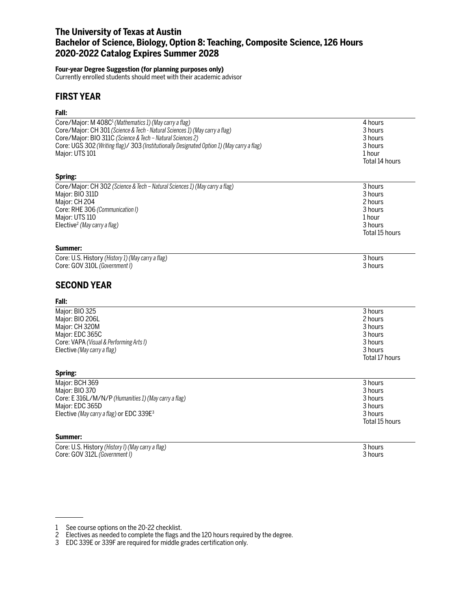# **The University of Texas at Austin Bachelor of Science, Biology, Option 8: Teaching, Composite Science, 126 Hours 2020-2022 Catalog Expires Summer 2028**

#### **Four-year Degree Suggestion (for planning purposes only)**

Currently enrolled students should meet with their academic advisor

## **FIRST YEAR**

### **Fall:**

| Core/Major: M 408C <sup>1</sup> (Mathematics 1) (May carry a flag)                         | 4 hours            |
|--------------------------------------------------------------------------------------------|--------------------|
| Core/Major: CH 301 (Science & Tech - Natural Sciences 1) (May carry a flag)                | 3 hours            |
| Core/Major: BIO 311C (Science & Tech - Natural Sciences 2)                                 | 3 hours<br>3 hours |
| Core: UGS 302 (Writing flag)/ 303 (Institutionally Designated Option 1) (May carry a flag) |                    |
| Major: UTS 101                                                                             | 1 hour             |
|                                                                                            |                    |
|                                                                                            | Total 14 hours     |
| Spring:                                                                                    |                    |
| Core/Major: CH 302 (Science & Tech - Natural Sciences 1) (May carry a flag)                | 3 hours            |
| Major: BIO 311D                                                                            | 3 hours            |
| Major: CH 204                                                                              | 2 hours            |
| Core: RHE 306 (Communication I)                                                            | 3 hours            |
| Major: UTS 110                                                                             | 1 hour             |
| Elective <sup>2</sup> (May carry a flag)                                                   | 3 hours            |
|                                                                                            | Total 15 hours     |
|                                                                                            |                    |
| Summer:                                                                                    |                    |
| Core: U.S. History (History 1) (May carry a flag)                                          | 3 hours            |
| Core: GOV 310L (Government I)                                                              | 3 hours            |
| <b>SECOND YEAR</b>                                                                         |                    |
| Fall:                                                                                      |                    |
| Major: BIO 325                                                                             | 3 hours            |
| Major: BIO 206L                                                                            | 2 hours            |
| Major: CH 320M                                                                             | 3 hours            |
| Major: EDC 365C                                                                            | 3 hours            |
|                                                                                            |                    |
| Core: VAPA (Visual & Performing Arts I)                                                    | 3 hours            |
| Elective (May carry a flag)                                                                | 3 hours            |
|                                                                                            | Total 17 hours     |
| Spring:                                                                                    |                    |
| Major: BCH 369                                                                             | 3 hours            |
| Major: BIO 370                                                                             | 3 hours            |
| Core: E 316L/M/N/P (Humanities 1) (May carry a flag)                                       | 3 hours            |
| Major: EDC 365D                                                                            | 3 hours            |
| Elective (May carry a flag) or EDC 339E <sup>3</sup>                                       | 3 hours            |
|                                                                                            | Total 15 hours     |
| Summer:                                                                                    |                    |
|                                                                                            |                    |
| Core: U.S. History (History I) (May carry a flag)                                          | 3 hours            |
| Core: GOV 312L (Government I)                                                              | 3 hours            |
|                                                                                            |                    |

<sup>1</sup> See course options on the 20-22 checklist.

<sup>2</sup> Electives as needed to complete the flags and the 120 hours required by the degree.

<sup>3</sup> EDC 339E or 339F are required for middle grades certification only.